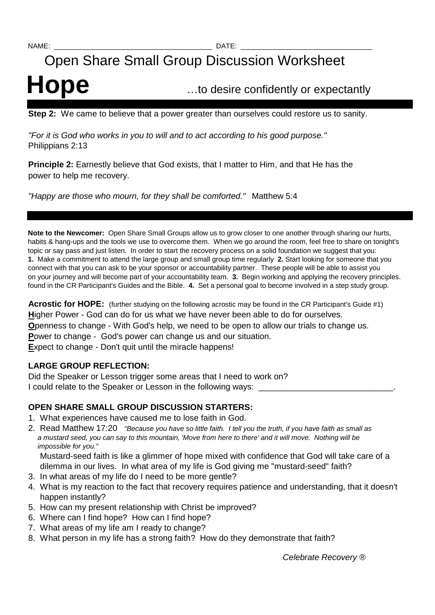# Open Share Small Group Discussion Worksheet

# **Hope** …to desire confidently or expectantly

**Step 2:** We came to believe that a power greater than ourselves could restore us to sanity.

"For it is God who works in you to will and to act according to his good purpose." Philippians 2:13

**Principle 2:** Earnestly believe that God exists, that I matter to Him, and that He has the power to help me recovery.

"Happy are those who mourn, for they shall be comforted." Matthew 5:4

**Note to the Newcomer:** Open Share Small Groups allow us to grow closer to one another through sharing our hurts, habits & hang-ups and the tools we use to overcome them. When we go around the room, feel free to share on tonight's topic or say pass and just listen. In order to start the recovery process on a solid foundation we suggest that you: **1.** Make a commitment to attend the large group and small group time regularly **2.** Start looking for someone that you connect with that you can ask to be your sponsor or accountability partner. These people will be able to assist you on your journey and will become part of your accountability team. **3.** Begin working and applying the recovery principles. found in the CR Participant's Guides and the Bible. **4.** Set a personal goal to become involved in a step study group.

**Acrostic for HOPE:** (further studying on the following acrostic may be found in the CR Participant's Guide #1) **H**igher Power - God can do for us what we have never been able to do for ourselves. **O**penness to change - With God's help, we need to be open to allow our trials to change us. **P**ower to change - God's power can change us and our situation. **E**xpect to change - Don't quit until the miracle happens!

### **LARGE GROUP REFLECTION:**

Did the Speaker or Lesson trigger some areas that I need to work on? I could relate to the Speaker or Lesson in the following ways:

## **OPEN SHARE SMALL GROUP DISCUSSION STARTERS:**

- 1. What experiences have caused me to lose faith in God.
- 2. Read Matthew 17:20 "Because you have so little faith. I tell you the truth, if you have faith as small as a mustard seed, you can say to this mountain, 'Move from here to there' and it will move. Nothing will be impossible for you."

 Mustard-seed faith is like a glimmer of hope mixed with confidence that God will take care of a dilemma in our lives. In what area of my life is God giving me "mustard-seed" faith?

- 3. In what areas of my life do I need to be more gentle?
- 4. What is my reaction to the fact that recovery requires patience and understanding, that it doesn't happen instantly?
- 5. How can my present relationship with Christ be improved?
- 6. Where can I find hope? How can I find hope?
- 7. What areas of my life am I ready to change?
- 8. What person in my life has a strong faith? How do they demonstrate that faith?